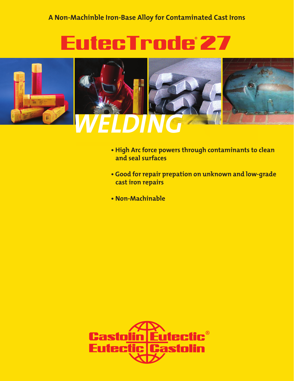# EutecTrode 27



- **High Arc force powers through contaminants to clean and seal surfaces**
- **Good for repair prepation on unknown and low-grade cast iron repairs**
- **Non-Machinable**